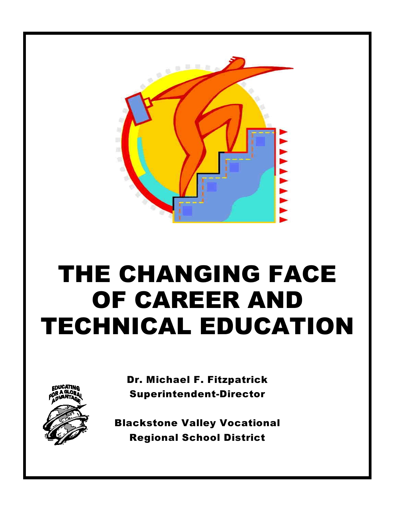

# THE CHANGING FACE OF CAREER AND TECHNICAL EDUCATION



Dr. Michael F. Fitzpatrick Superintendent-Director

Blackstone Valley Vocational Regional School District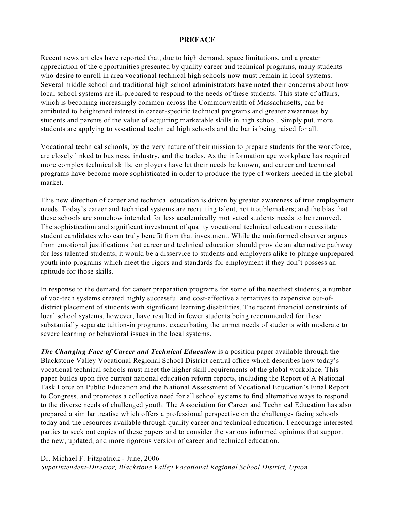#### **PREFACE**

Recent news articles have reported that, due to high demand, space limitations, and a greater appreciation of the opportunities presented by quality career and technical programs, many students who desire to enroll in area vocational technical high schools now must remain in local systems. Several middle school and traditional high school administrators have noted their concerns about how local school systems are ill-prepared to respond to the needs of these students. This state of affairs, which is becoming increasingly common across the Commonwealth of Massachusetts, can be attributed to heightened interest in career-specific technical programs and greater awareness by students and parents of the value of acquiring marketable skills in high school. Simply put, more students are applying to vocational technical high schools and the bar is being raised for all.

Vocational technical schools, by the very nature of their mission to prepare students for the workforce, are closely linked to business, industry, and the trades. As the information age workplace has required more complex technical skills, employers have let their needs be known, and career and technical programs have become more sophisticated in order to produce the type of workers needed in the global market.

This new direction of career and technical education is driven by greater awareness of true employment needs. Today's career and technical systems are recruiting talent, not troublemakers; and the bias that these schools are somehow intended for less academically motivated students needs to be removed. The sophistication and significant investment of quality vocational technical education necessitate student candidates who can truly benefit from that investment. While the uninformed observer argues from emotional justifications that career and technical education should provide an alternative pathway for less talented students, it would be a disservice to students and employers alike to plunge unprepared youth into programs which meet the rigors and standards for employment if they don't possess an aptitude for those skills.

In response to the demand for career preparation programs for some of the neediest students, a number of voc-tech systems created highly successful and cost-effective alternatives to expensive out-ofdistrict placement of students with significant learning disabilities. The recent financial constraints of local school systems, however, have resulted in fewer students being recommended for these substantially separate tuition-in programs, exacerbating the unmet needs of students with moderate to severe learning or behavioral issues in the local systems.

*The Changing Face of Career and Technical Education* is a position paper available through the Blackstone Valley Vocational Regional School District central office which describes how today's vocational technical schools must meet the higher skill requirements of the global workplace. This paper builds upon five current national education reform reports, including the Report of A National Task Force on Public Education and the National Assessment of Vocational Education's Final Report to Congress, and promotes a collective need for all school systems to find alternative ways to respond to the diverse needs of challenged youth. The Association for Career and Technical Education has also prepared a similar treatise which offers a professional perspective on the challenges facing schools today and the resources available through quality career and technical education. I encourage interested parties to seek out copies of these papers and to consider the various informed opinions that support the new, updated, and more rigorous version of career and technical education.

#### Dr. Michael F. Fitzpatrick - June, 2006

*Superintendent-Director, Blackstone Valley Vocational Regional School District, Upton*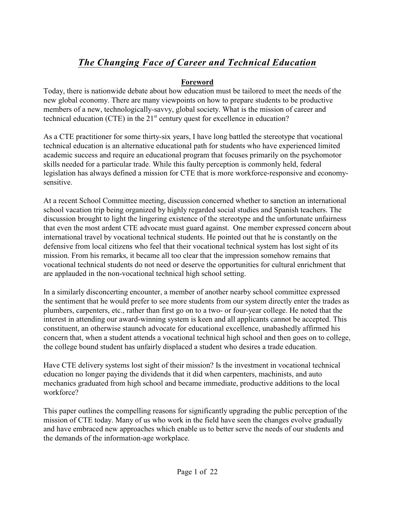#### **Foreword**

Today, there is nationwide debate about how education must be tailored to meet the needs of the new global economy. There are many viewpoints on how to prepare students to be productive members of a new, technologically-savvy, global society. What is the mission of career and technical education (CTE) in the  $21<sup>st</sup>$  century quest for excellence in education?

As a CTE practitioner for some thirty-six years, I have long battled the stereotype that vocational technical education is an alternative educational path for students who have experienced limited academic success and require an educational program that focuses primarily on the psychomotor skills needed for a particular trade. While this faulty perception is commonly held, federal legislation has always defined a mission for CTE that is more workforce-responsive and economysensitive.

At a recent School Committee meeting, discussion concerned whether to sanction an international school vacation trip being organized by highly regarded social studies and Spanish teachers. The discussion brought to light the lingering existence of the stereotype and the unfortunate unfairness that even the most ardent CTE advocate must guard against. One member expressed concern about international travel by vocational technical students. He pointed out that he is constantly on the defensive from local citizens who feel that their vocational technical system has lost sight of its mission. From his remarks, it became all too clear that the impression somehow remains that vocational technical students do not need or deserve the opportunities for cultural enrichment that are applauded in the non-vocational technical high school setting.

In a similarly disconcerting encounter, a member of another nearby school committee expressed the sentiment that he would prefer to see more students from our system directly enter the trades as plumbers, carpenters, etc., rather than first go on to a two- or four-year college. He noted that the interest in attending our award-winning system is keen and all applicants cannot be accepted. This constituent, an otherwise staunch advocate for educational excellence, unabashedly affirmed his concern that, when a student attends a vocational technical high school and then goes on to college, the college bound student has unfairly displaced a student who desires a trade education.

Have CTE delivery systems lost sight of their mission? Is the investment in vocational technical education no longer paying the dividends that it did when carpenters, machinists, and auto mechanics graduated from high school and became immediate, productive additions to the local workforce?

This paper outlines the compelling reasons for significantly upgrading the public perception of the mission of CTE today. Many of us who work in the field have seen the changes evolve gradually and have embraced new approaches which enable us to better serve the needs of our students and the demands of the information-age workplace.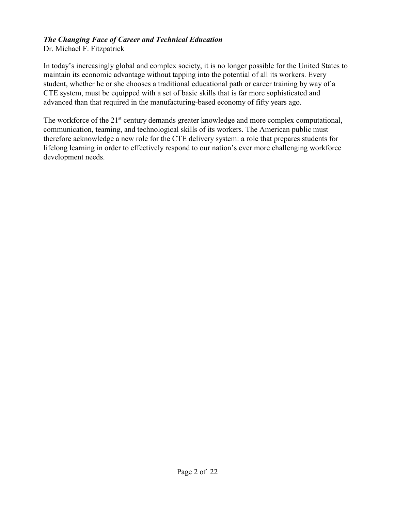Dr. Michael F. Fitzpatrick

In today's increasingly global and complex society, it is no longer possible for the United States to maintain its economic advantage without tapping into the potential of all its workers. Every student, whether he or she chooses a traditional educational path or career training by way of a CTE system, must be equipped with a set of basic skills that is far more sophisticated and advanced than that required in the manufacturing-based economy of fifty years ago.

The workforce of the  $21<sup>st</sup>$  century demands greater knowledge and more complex computational, communication, teaming, and technological skills of its workers. The American public must therefore acknowledge a new role for the CTE delivery system: a role that prepares students for lifelong learning in order to effectively respond to our nation's ever more challenging workforce development needs.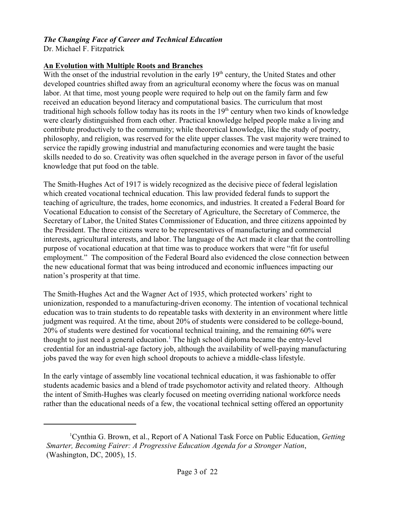Dr. Michael F. Fitzpatrick

#### **An Evolution with Multiple Roots and Branches**

With the onset of the industrial revolution in the early 19<sup>th</sup> century, the United States and other developed countries shifted away from an agricultural economy where the focus was on manual labor. At that time, most young people were required to help out on the family farm and few received an education beyond literacy and computational basics. The curriculum that most traditional high schools follow today has its roots in the  $19<sup>th</sup>$  century when two kinds of knowledge were clearly distinguished from each other. Practical knowledge helped people make a living and contribute productively to the community; while theoretical knowledge, like the study of poetry, philosophy, and religion, was reserved for the elite upper classes. The vast majority were trained to service the rapidly growing industrial and manufacturing economies and were taught the basic skills needed to do so. Creativity was often squelched in the average person in favor of the useful knowledge that put food on the table.

The Smith-Hughes Act of 1917 is widely recognized as the decisive piece of federal legislation which created vocational technical education. This law provided federal funds to support the teaching of agriculture, the trades, home economics, and industries. It created a Federal Board for Vocational Education to consist of the Secretary of Agriculture, the Secretary of Commerce, the Secretary of Labor, the United States Commissioner of Education, and three citizens appointed by the President. The three citizens were to be representatives of manufacturing and commercial interests, agricultural interests, and labor. The language of the Act made it clear that the controlling purpose of vocational education at that time was to produce workers that were "fit for useful employment." The composition of the Federal Board also evidenced the close connection between the new educational format that was being introduced and economic influences impacting our nation's prosperity at that time.

The Smith-Hughes Act and the Wagner Act of 1935, which protected workers' right to unionization, responded to a manufacturing-driven economy. The intention of vocational technical education was to train students to do repeatable tasks with dexterity in an environment where little judgment was required. At the time, about 20% of students were considered to be college-bound, 20% of students were destined for vocational technical training, and the remaining 60% were thought to just need a general education.<sup>1</sup> The high school diploma became the entry-level credential for an industrial-age factory job, although the availability of well-paying manufacturing jobs paved the way for even high school dropouts to achieve a middle-class lifestyle.

In the early vintage of assembly line vocational technical education, it was fashionable to offer students academic basics and a blend of trade psychomotor activity and related theory. Although the intent of Smith-Hughes was clearly focused on meeting overriding national workforce needs rather than the educational needs of a few, the vocational technical setting offered an opportunity

<sup>&</sup>lt;sup>1</sup> Cynthia G. Brown, et al., Report of A National Task Force on Public Education, *Getting Smarter, Becoming Fairer: A Progressive Education Agenda for a Stronger Nation*, (Washington, DC, 2005), 15.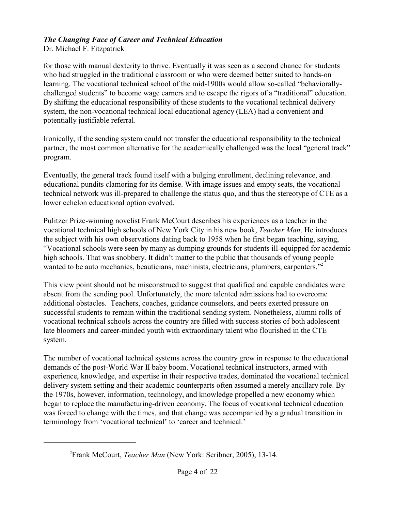Dr. Michael F. Fitzpatrick

for those with manual dexterity to thrive. Eventually it was seen as a second chance for students who had struggled in the traditional classroom or who were deemed better suited to hands-on learning. The vocational technical school of the mid-1900s would allow so-called "behaviorallychallenged students" to become wage earners and to escape the rigors of a "traditional" education. By shifting the educational responsibility of those students to the vocational technical delivery system, the non-vocational technical local educational agency (LEA) had a convenient and potentially justifiable referral.

Ironically, if the sending system could not transfer the educational responsibility to the technical partner, the most common alternative for the academically challenged was the local "general track" program.

Eventually, the general track found itself with a bulging enrollment, declining relevance, and educational pundits clamoring for its demise. With image issues and empty seats, the vocational technical network was ill-prepared to challenge the status quo, and thus the stereotype of CTE as a lower echelon educational option evolved.

Pulitzer Prize-winning novelist Frank McCourt describes his experiences as a teacher in the vocational technical high schools of New York City in his new book, *Teacher Man*. He introduces the subject with his own observations dating back to 1958 when he first began teaching, saying, "Vocational schools were seen by many as dumping grounds for students ill-equipped for academic high schools. That was snobbery. It didn't matter to the public that thousands of young people wanted to be auto mechanics, beauticians, machinists, electricians, plumbers, carpenters."<sup>2</sup>

This view point should not be misconstrued to suggest that qualified and capable candidates were absent from the sending pool. Unfortunately, the more talented admissions had to overcome additional obstacles. Teachers, coaches, guidance counselors, and peers exerted pressure on successful students to remain within the traditional sending system. Nonetheless, alumni rolls of vocational technical schools across the country are filled with success stories of both adolescent late bloomers and career-minded youth with extraordinary talent who flourished in the CTE system.

The number of vocational technical systems across the country grew in response to the educational demands of the post-World War II baby boom. Vocational technical instructors, armed with experience, knowledge, and expertise in their respective trades, dominated the vocational technical delivery system setting and their academic counterparts often assumed a merely ancillary role. By the 1970s, however, information, technology, and knowledge propelled a new economy which began to replace the manufacturing-driven economy. The focus of vocational technical education was forced to change with the times, and that change was accompanied by a gradual transition in terminology from 'vocational technical' to 'career and technical.'

<sup>&</sup>lt;sup>2</sup> Frank McCourt, *Teacher Man* (New York: Scribner, 2005), 13-14.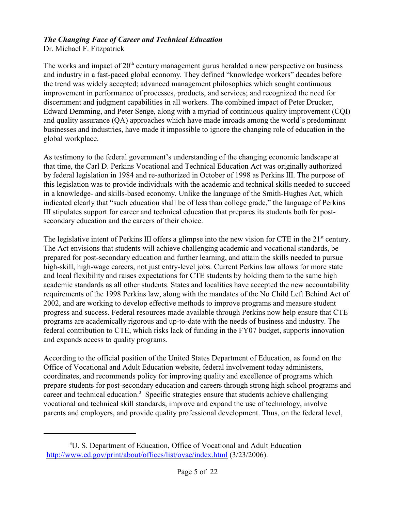Dr. Michael F. Fitzpatrick

The works and impact of  $20<sup>th</sup>$  century management gurus heralded a new perspective on business and industry in a fast-paced global economy. They defined "knowledge workers" decades before the trend was widely accepted; advanced management philosophies which sought continuous improvement in performance of processes, products, and services; and recognized the need for discernment and judgment capabilities in all workers. The combined impact of Peter Drucker, Edward Demming, and Peter Senge, along with a myriad of continuous quality improvement (CQI) and quality assurance (QA) approaches which have made inroads among the world's predominant businesses and industries, have made it impossible to ignore the changing role of education in the global workplace.

As testimony to the federal government's understanding of the changing economic landscape at that time, the Carl D. Perkins Vocational and Technical Education Act was originally authorized by federal legislation in 1984 and re-authorized in October of 1998 as Perkins III. The purpose of this legislation was to provide individuals with the academic and technical skills needed to succeed in a knowledge- and skills-based economy. Unlike the language of the Smith-Hughes Act, which indicated clearly that "such education shall be of less than college grade," the language of Perkins III stipulates support for career and technical education that prepares its students both for postsecondary education and the careers of their choice.

The legislative intent of Perkins III offers a glimpse into the new vision for CTE in the  $21<sup>st</sup>$  century. The Act envisions that students will achieve challenging academic and vocational standards, be prepared for post-secondary education and further learning, and attain the skills needed to pursue high-skill, high-wage careers, not just entry-level jobs. Current Perkins law allows for more state and local flexibility and raises expectations for CTE students by holding them to the same high academic standards as all other students. States and localities have accepted the new accountability requirements of the 1998 Perkins law, along with the mandates of the No Child Left Behind Act of 2002, and are working to develop effective methods to improve programs and measure student progress and success. Federal resources made available through Perkins now help ensure that CTE programs are academically rigorous and up-to-date with the needs of business and industry. The federal contribution to CTE, which risks lack of funding in the FY07 budget, supports innovation and expands access to quality programs.

According to the official position of the United States Department of Education, as found on the Office of Vocational and Adult Education website, federal involvement today administers, coordinates, and recommends policy for improving quality and excellence of programs which prepare students for post-secondary education and careers through strong high school programs and career and technical education.<sup>3</sup> Specific strategies ensure that students achieve challenging vocational and technical skill standards, improve and expand the use of technology, involve parents and employers, and provide quality professional development. Thus, on the federal level,

<sup>&</sup>lt;sup>3</sup>U. S. Department of Education, Office of Vocational and Adult Education <http://www.ed.gov/print/about/offices/list/ovae/index.html> (3/23/2006).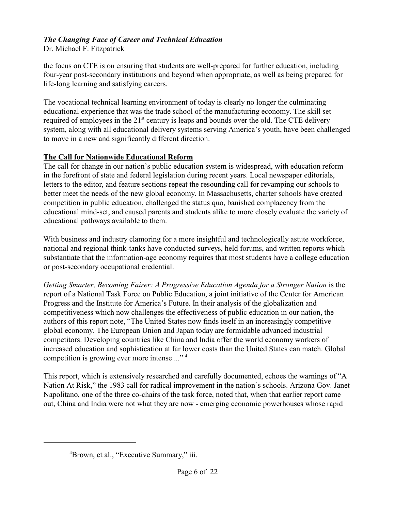Dr. Michael F. Fitzpatrick

the focus on CTE is on ensuring that students are well-prepared for further education, including four-year post-secondary institutions and beyond when appropriate, as well as being prepared for life-long learning and satisfying careers.

The vocational technical learning environment of today is clearly no longer the culminating educational experience that was the trade school of the manufacturing economy. The skill set required of employees in the  $21<sup>st</sup>$  century is leaps and bounds over the old. The CTE delivery system, along with all educational delivery systems serving America's youth, have been challenged to move in a new and significantly different direction.

#### **The Call for Nationwide Educational Reform**

The call for change in our nation's public education system is widespread, with education reform in the forefront of state and federal legislation during recent years. Local newspaper editorials, letters to the editor, and feature sections repeat the resounding call for revamping our schools to better meet the needs of the new global economy. In Massachusetts, charter schools have created competition in public education, challenged the status quo, banished complacency from the educational mind-set, and caused parents and students alike to more closely evaluate the variety of educational pathways available to them.

With business and industry clamoring for a more insightful and technologically astute workforce, national and regional think-tanks have conducted surveys, held forums, and written reports which substantiate that the information-age economy requires that most students have a college education or post-secondary occupational credential.

*Getting Smarter, Becoming Fairer: A Progressive Education Agenda for a Stronger Nation* is the report of a National Task Force on Public Education, a joint initiative of the Center for American Progress and the Institute for America's Future. In their analysis of the globalization and competitiveness which now challenges the effectiveness of public education in our nation, the authors of this report note, "The United States now finds itself in an increasingly competitive global economy. The European Union and Japan today are formidable advanced industrial competitors. Developing countries like China and India offer the world economy workers of increased education and sophistication at far lower costs than the United States can match. Global competition is growing ever more intense ..." <sup>4</sup>

This report, which is extensively researched and carefully documented, echoes the warnings of "A Nation At Risk," the 1983 call for radical improvement in the nation's schools. Arizona Gov. Janet Napolitano, one of the three co-chairs of the task force, noted that, when that earlier report came out, China and India were not what they are now - emerging economic powerhouses whose rapid

<sup>&</sup>lt;sup>4</sup>Brown, et al., "Executive Summary," iii.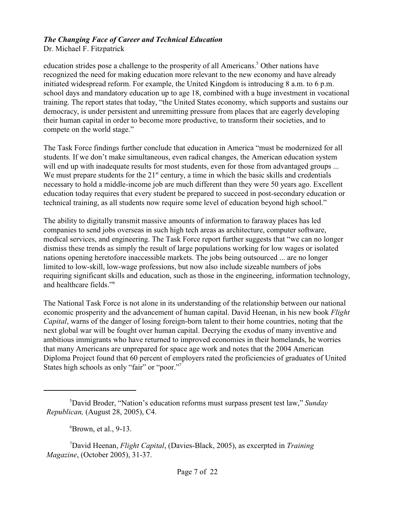Dr. Michael F. Fitzpatrick

education strides pose a challenge to the prosperity of all Americans.<sup>5</sup> Other nations have recognized the need for making education more relevant to the new economy and have already initiated widespread reform. For example, the United Kingdom is introducing 8 a.m. to 6 p.m. school days and mandatory education up to age 18, combined with a huge investment in vocational training. The report states that today, "the United States economy, which supports and sustains our democracy, is under persistent and unremitting pressure from places that are eagerly developing their human capital in order to become more productive, to transform their societies, and to compete on the world stage."

The Task Force findings further conclude that education in America "must be modernized for all students. If we don't make simultaneous, even radical changes, the American education system will end up with inadequate results for most students, even for those from advantaged groups ... We must prepare students for the  $21<sup>st</sup>$  century, a time in which the basic skills and credentials necessary to hold a middle-income job are much different than they were 50 years ago. Excellent education today requires that every student be prepared to succeed in post-secondary education or technical training, as all students now require some level of education beyond high school."

The ability to digitally transmit massive amounts of information to faraway places has led companies to send jobs overseas in such high tech areas as architecture, computer software, medical services, and engineering. The Task Force report further suggests that "we can no longer dismiss these trends as simply the result of large populations working for low wages or isolated nations opening heretofore inaccessible markets. The jobs being outsourced ... are no longer limited to low-skill, low-wage professions, but now also include sizeable numbers of jobs requiring significant skills and education, such as those in the engineering, information technology, and healthcare fields."<sup>6</sup>

The National Task Force is not alone in its understanding of the relationship between our national economic prosperity and the advancement of human capital. David Heenan, in his new book *Flight Capital*, warns of the danger of losing foreign-born talent to their home countries, noting that the next global war will be fought over human capital. Decrying the exodus of many inventive and ambitious immigrants who have returned to improved economies in their homelands, he worries that many Americans are unprepared for space age work and notes that the 2004 American Diploma Project found that 60 percent of employers rated the proficiencies of graduates of United States high schools as only "fair" or "poor."<sup>7</sup>

 ${}^6$ Brown, et al., 9-13.

<sup>&</sup>lt;sup>5</sup>David Broder, "Nation's education reforms must surpass present test law," *Sunday Republican,* (August 28, 2005), C4.

David Heenan, *Flight Capital*, (Davies-Black, 2005), as excerpted in *Training* <sup>7</sup> *Magazine*, (October 2005), 31-37.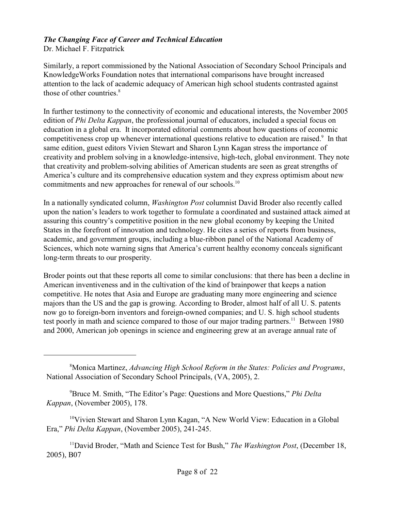Dr. Michael F. Fitzpatrick

Similarly, a report commissioned by the National Association of Secondary School Principals and KnowledgeWorks Foundation notes that international comparisons have brought increased attention to the lack of academic adequacy of American high school students contrasted against those of other countries. $8<sup>8</sup>$ 

In further testimony to the connectivity of economic and educational interests, the November 2005 edition of *Phi Delta Kappan*, the professional journal of educators, included a special focus on education in a global era. It incorporated editorial comments about how questions of economic competitiveness crop up whenever international questions relative to education are raised.<sup>9</sup> In that same edition, guest editors Vivien Stewart and Sharon Lynn Kagan stress the importance of creativity and problem solving in a knowledge-intensive, high-tech, global environment. They note that creativity and problem-solving abilities of American students are seen as great strengths of America's culture and its comprehensive education system and they express optimism about new commitments and new approaches for renewal of our schools.<sup>10</sup>

In a nationally syndicated column, *Washington Post* columnist David Broder also recently called upon the nation's leaders to work together to formulate a coordinated and sustained attack aimed at assuring this country's competitive position in the new global economy by keeping the United States in the forefront of innovation and technology. He cites a series of reports from business, academic, and government groups, including a blue-ribbon panel of the National Academy of Sciences, which note warning signs that America's current healthy economy conceals significant long-term threats to our prosperity.

Broder points out that these reports all come to similar conclusions: that there has been a decline in American inventiveness and in the cultivation of the kind of brainpower that keeps a nation competitive. He notes that Asia and Europe are graduating many more engineering and science majors than the US and the gap is growing. According to Broder, almost half of all U. S. patents now go to foreign-born inventors and foreign-owned companies; and U. S. high school students test poorly in math and science compared to those of our major trading partners.<sup>11</sup> Between 1980 and 2000, American job openings in science and engineering grew at an average annual rate of

Bruce M. Smith, "The Editor's Page: Questions and More Questions," *Phi Delta* <sup>9</sup> *Kappan*, (November 2005), 178.

<sup>10</sup>Vivien Stewart and Sharon Lynn Kagan, "A New World View: Education in a Global Era," *Phi Delta Kappan*, (November 2005), 241-245.

<sup>11</sup>David Broder, "Math and Science Test for Bush," *The Washington Post*, (December 18, 2005), B07

Monica Martinez, *Advancing High School Reform in the States: Policies and Programs*, 8 National Association of Secondary School Principals, (VA, 2005), 2.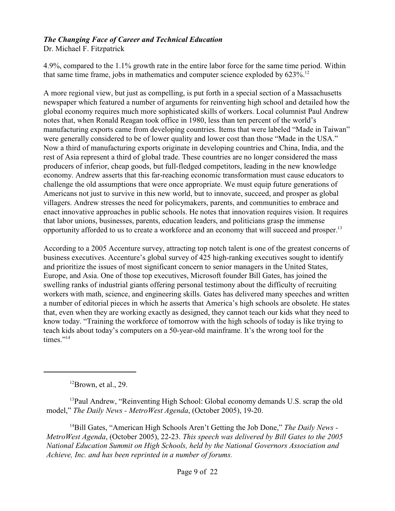Dr. Michael F. Fitzpatrick

4.9%, compared to the 1.1% growth rate in the entire labor force for the same time period. Within that same time frame, jobs in mathematics and computer science exploded by  $623\%$ <sup>12</sup>

A more regional view, but just as compelling, is put forth in a special section of a Massachusetts newspaper which featured a number of arguments for reinventing high school and detailed how the global economy requires much more sophisticated skills of workers. Local columnist Paul Andrew notes that, when Ronald Reagan took office in 1980, less than ten percent of the world's manufacturing exports came from developing countries. Items that were labeled "Made in Taiwan" were generally considered to be of lower quality and lower cost than those "Made in the USA." Now a third of manufacturing exports originate in developing countries and China, India, and the rest of Asia represent a third of global trade. These countries are no longer considered the mass producers of inferior, cheap goods, but full-fledged competitors, leading in the new knowledge economy. Andrew asserts that this far-reaching economic transformation must cause educators to challenge the old assumptions that were once appropriate. We must equip future generations of Americans not just to survive in this new world, but to innovate, succeed, and prosper as global villagers. Andrew stresses the need for policymakers, parents, and communities to embrace and enact innovative approaches in public schools. He notes that innovation requires vision. It requires that labor unions, businesses, parents, education leaders, and politicians grasp the immense opportunity afforded to us to create a workforce and an economy that will succeed and prosper.<sup>13</sup>

According to a 2005 Accenture survey, attracting top notch talent is one of the greatest concerns of business executives. Accenture's global survey of 425 high-ranking executives sought to identify and prioritize the issues of most significant concern to senior managers in the United States, Europe, and Asia. One of those top executives, Microsoft founder Bill Gates, has joined the swelling ranks of industrial giants offering personal testimony about the difficulty of recruiting workers with math, science, and engineering skills. Gates has delivered many speeches and written a number of editorial pieces in which he asserts that America's high schools are obsolete. He states that, even when they are working exactly as designed, they cannot teach our kids what they need to know today. "Training the workforce of tomorrow with the high schools of today is like trying to teach kids about today's computers on a 50-year-old mainframe. It's the wrong tool for the times." $^{14}$ 

 $12$ Brown, et al., 29.

<sup>13</sup>Paul Andrew, "Reinventing High School: Global economy demands U.S. scrap the old model," *The Daily News - MetroWest Agenda*, (October 2005), 19-20.

<sup>14</sup>Bill Gates, "American High Schools Aren't Getting the Job Done," *The Daily News -MetroWest Agenda*, (October 2005), 22-23. *This speech was delivered by Bill Gates to the 2005 National Education Summit on High Schools, held by the National Governors Association and Achieve, Inc. and has been reprinted in a number of forums.*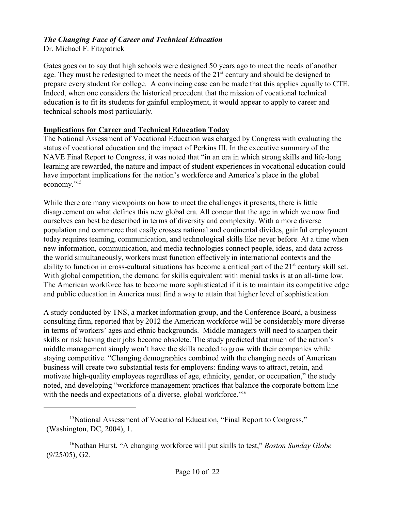Dr. Michael F. Fitzpatrick

Gates goes on to say that high schools were designed 50 years ago to meet the needs of another age. They must be redesigned to meet the needs of the  $21<sup>st</sup>$  century and should be designed to prepare every student for college. A convincing case can be made that this applies equally to CTE. Indeed, when one considers the historical precedent that the mission of vocational technical education is to fit its students for gainful employment, it would appear to apply to career and technical schools most particularly.

#### **Implications for Career and Technical Education Today**

The National Assessment of Vocational Education was charged by Congress with evaluating the status of vocational education and the impact of Perkins III. In the executive summary of the NAVE Final Report to Congress, it was noted that "in an era in which strong skills and life-long learning are rewarded, the nature and impact of student experiences in vocational education could have important implications for the nation's workforce and America's place in the global economy."<sup>15</sup>

While there are many viewpoints on how to meet the challenges it presents, there is little disagreement on what defines this new global era. All concur that the age in which we now find ourselves can best be described in terms of diversity and complexity. With a more diverse population and commerce that easily crosses national and continental divides, gainful employment today requires teaming, communication, and technological skills like never before. At a time when new information, communication, and media technologies connect people, ideas, and data across the world simultaneously, workers must function effectively in international contexts and the ability to function in cross-cultural situations has become a critical part of the  $21<sup>st</sup>$  century skill set. With global competition, the demand for skills equivalent with menial tasks is at an all-time low. The American workforce has to become more sophisticated if it is to maintain its competitive edge and public education in America must find a way to attain that higher level of sophistication.

A study conducted by TNS, a market information group, and the Conference Board, a business consulting firm, reported that by 2012 the American workforce will be considerably more diverse in terms of workers' ages and ethnic backgrounds. Middle managers will need to sharpen their skills or risk having their jobs become obsolete. The study predicted that much of the nation's middle management simply won't have the skills needed to grow with their companies while staying competitive. "Changing demographics combined with the changing needs of American business will create two substantial tests for employers: finding ways to attract, retain, and motivate high-quality employees regardless of age, ethnicity, gender, or occupation," the study noted, and developing "workforce management practices that balance the corporate bottom line with the needs and expectations of a diverse, global workforce."<sup>16</sup>

<sup>&</sup>lt;sup>15</sup>National Assessment of Vocational Education, "Final Report to Congress," (Washington, DC, 2004), 1.

<sup>&</sup>lt;sup>16</sup>Nathan Hurst, "A changing workforce will put skills to test," *Boston Sunday Globe* (9/25/05), G2.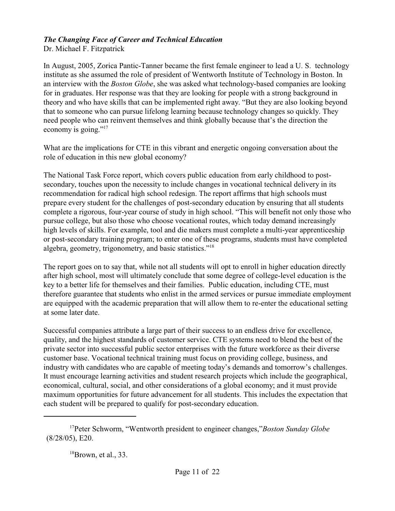Dr. Michael F. Fitzpatrick

In August, 2005, Zorica Pantic-Tanner became the first female engineer to lead a U. S. technology institute as she assumed the role of president of Wentworth Institute of Technology in Boston. In an interview with the *Boston Globe*, she was asked what technology-based companies are looking for in graduates. Her response was that they are looking for people with a strong background in theory and who have skills that can be implemented right away. "But they are also looking beyond that to someone who can pursue lifelong learning because technology changes so quickly. They need people who can reinvent themselves and think globally because that's the direction the economy is going."<sup>17</sup>

What are the implications for CTE in this vibrant and energetic ongoing conversation about the role of education in this new global economy?

The National Task Force report, which covers public education from early childhood to postsecondary, touches upon the necessity to include changes in vocational technical delivery in its recommendation for radical high school redesign. The report affirms that high schools must prepare every student for the challenges of post-secondary education by ensuring that all students complete a rigorous, four-year course of study in high school. "This will benefit not only those who pursue college, but also those who choose vocational routes, which today demand increasingly high levels of skills. For example, tool and die makers must complete a multi-year apprenticeship or post-secondary training program; to enter one of these programs, students must have completed algebra, geometry, trigonometry, and basic statistics."<sup>18</sup>

The report goes on to say that, while not all students will opt to enroll in higher education directly after high school, most will ultimately conclude that some degree of college-level education is the key to a better life for themselves and their families. Public education, including CTE, must therefore guarantee that students who enlist in the armed services or pursue immediate employment are equipped with the academic preparation that will allow them to re-enter the educational setting at some later date.

Successful companies attribute a large part of their success to an endless drive for excellence, quality, and the highest standards of customer service. CTE systems need to blend the best of the private sector into successful public sector enterprises with the future workforce as their diverse customer base. Vocational technical training must focus on providing college, business, and industry with candidates who are capable of meeting today's demands and tomorrow's challenges. It must encourage learning activities and student research projects which include the geographical, economical, cultural, social, and other considerations of a global economy; and it must provide maximum opportunities for future advancement for all students. This includes the expectation that each student will be prepared to qualify for post-secondary education.

<sup>&</sup>lt;sup>17</sup>Peter Schworm, "Wentworth president to engineer changes,"*Boston Sunday Globe* (8/28/05), E20.

 $18$ Brown, et al., 33.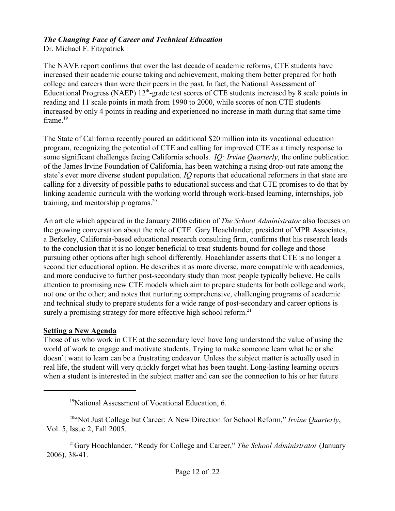Dr. Michael F. Fitzpatrick

The NAVE report confirms that over the last decade of academic reforms, CTE students have increased their academic course taking and achievement, making them better prepared for both college and careers than were their peers in the past. In fact, the National Assessment of Educational Progress (NAEP)  $12<sup>th</sup>$ -grade test scores of CTE students increased by 8 scale points in reading and 11 scale points in math from 1990 to 2000, while scores of non CTE students increased by only 4 points in reading and experienced no increase in math during that same time frame.<sup>19</sup>

The State of California recently poured an additional \$20 million into its vocational education program, recognizing the potential of CTE and calling for improved CTE as a timely response to some significant challenges facing California schools. *IQ: Irvine Quarterly*, the online publication of the James Irvine Foundation of California, has been watching a rising drop-out rate among the state's ever more diverse student population. *IQ* reports that educational reformers in that state are calling for a diversity of possible paths to educational success and that CTE promises to do that by linking academic curricula with the working world through work-based learning, internships, job training, and mentorship programs. $20$ 

An article which appeared in the January 2006 edition of *The School Administrator* also focuses on the growing conversation about the role of CTE. Gary Hoachlander, president of MPR Associates, a Berkeley, California-based educational research consulting firm, confirms that his research leads to the conclusion that it is no longer beneficial to treat students bound for college and those pursuing other options after high school differently. Hoachlander asserts that CTE is no longer a second tier educational option. He describes it as more diverse, more compatible with academics, and more conducive to further post-secondary study than most people typically believe. He calls attention to promising new CTE models which aim to prepare students for both college and work, not one or the other; and notes that nurturing comprehensive, challenging programs of academic and technical study to prepare students for a wide range of post-secondary and career options is surely a promising strategy for more effective high school reform.<sup>21</sup>

#### **Setting a New Agenda**

Those of us who work in CTE at the secondary level have long understood the value of using the world of work to engage and motivate students. Trying to make someone learn what he or she doesn't want to learn can be a frustrating endeavor. Unless the subject matter is actually used in real life, the student will very quickly forget what has been taught. Long-lasting learning occurs when a student is interested in the subject matter and can see the connection to his or her future

<sup>&</sup>lt;sup>19</sup>National Assessment of Vocational Education, 6.

<sup>&</sup>lt;sup>204</sup> Not Just College but Career: A New Direction for School Reform," Irvine Quarterly, Vol. 5, Issue 2, Fall 2005.

<sup>&</sup>lt;sup>21</sup>Gary Hoachlander, "Ready for College and Career," *The School Administrator* (January 2006), 38-41.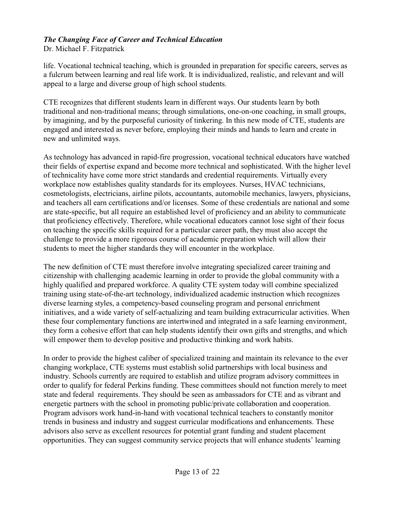Dr. Michael F. Fitzpatrick

life. Vocational technical teaching, which is grounded in preparation for specific careers, serves as a fulcrum between learning and real life work. It is individualized, realistic, and relevant and will appeal to a large and diverse group of high school students.

CTE recognizes that different students learn in different ways. Our students learn by both traditional and non-traditional means; through simulations, one-on-one coaching, in small groups, by imagining, and by the purposeful curiosity of tinkering. In this new mode of CTE, students are engaged and interested as never before, employing their minds and hands to learn and create in new and unlimited ways.

As technology has advanced in rapid-fire progression, vocational technical educators have watched their fields of expertise expand and become more technical and sophisticated. With the higher level of technicality have come more strict standards and credential requirements. Virtually every workplace now establishes quality standards for its employees. Nurses, HVAC technicians, cosmetologists, electricians, airline pilots, accountants, automobile mechanics, lawyers, physicians, and teachers all earn certifications and/or licenses. Some of these credentials are national and some are state-specific, but all require an established level of proficiency and an ability to communicate that proficiency effectively. Therefore, while vocational educators cannot lose sight of their focus on teaching the specific skills required for a particular career path, they must also accept the challenge to provide a more rigorous course of academic preparation which will allow their students to meet the higher standards they will encounter in the workplace.

The new definition of CTE must therefore involve integrating specialized career training and citizenship with challenging academic learning in order to provide the global community with a highly qualified and prepared workforce. A quality CTE system today will combine specialized training using state-of-the-art technology, individualized academic instruction which recognizes diverse learning styles, a competency-based counseling program and personal enrichment initiatives, and a wide variety of self-actualizing and team building extracurricular activities. When these four complementary functions are intertwined and integrated in a safe learning environment, they form a cohesive effort that can help students identify their own gifts and strengths, and which will empower them to develop positive and productive thinking and work habits.

In order to provide the highest caliber of specialized training and maintain its relevance to the ever changing workplace, CTE systems must establish solid partnerships with local business and industry. Schools currently are required to establish and utilize program advisory committees in order to qualify for federal Perkins funding. These committees should not function merely to meet state and federal requirements. They should be seen as ambassadors for CTE and as vibrant and energetic partners with the school in promoting public/private collaboration and cooperation. Program advisors work hand-in-hand with vocational technical teachers to constantly monitor trends in business and industry and suggest curricular modifications and enhancements. These advisors also serve as excellent resources for potential grant funding and student placement opportunities. They can suggest community service projects that will enhance students' learning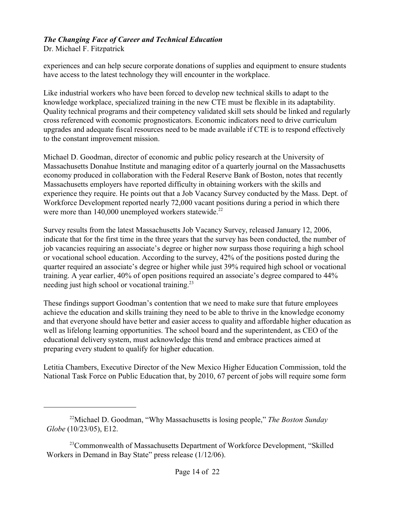Dr. Michael F. Fitzpatrick

experiences and can help secure corporate donations of supplies and equipment to ensure students have access to the latest technology they will encounter in the workplace.

Like industrial workers who have been forced to develop new technical skills to adapt to the knowledge workplace, specialized training in the new CTE must be flexible in its adaptability. Quality technical programs and their competency validated skill sets should be linked and regularly cross referenced with economic prognosticators. Economic indicators need to drive curriculum upgrades and adequate fiscal resources need to be made available if CTE is to respond effectively to the constant improvement mission.

Michael D. Goodman, director of economic and public policy research at the University of Massachusetts Donahue Institute and managing editor of a quarterly journal on the Massachusetts economy produced in collaboration with the Federal Reserve Bank of Boston, notes that recently Massachusetts employers have reported difficulty in obtaining workers with the skills and experience they require. He points out that a Job Vacancy Survey conducted by the Mass. Dept. of Workforce Development reported nearly 72,000 vacant positions during a period in which there were more than  $140,000$  unemployed workers statewide.<sup>22</sup>

Survey results from the latest Massachusetts Job Vacancy Survey, released January 12, 2006, indicate that for the first time in the three years that the survey has been conducted, the number of job vacancies requiring an associate's degree or higher now surpass those requiring a high school or vocational school education. According to the survey, 42% of the positions posted during the quarter required an associate's degree or higher while just 39% required high school or vocational training. A year earlier, 40% of open positions required an associate's degree compared to 44% needing just high school or vocational training.<sup>23</sup>

These findings support Goodman's contention that we need to make sure that future employees achieve the education and skills training they need to be able to thrive in the knowledge economy and that everyone should have better and easier access to quality and affordable higher education as well as lifelong learning opportunities. The school board and the superintendent, as CEO of the educational delivery system, must acknowledge this trend and embrace practices aimed at preparing every student to qualify for higher education.

Letitia Chambers, Executive Director of the New Mexico Higher Education Commission, told the National Task Force on Public Education that, by 2010, 67 percent of jobs will require some form

<sup>&</sup>lt;sup>22</sup>Michael D. Goodman, "Why Massachusetts is losing people," *The Boston Sunday Globe* (10/23/05), E12.

<sup>&</sup>lt;sup>23</sup>Commonwealth of Massachusetts Department of Workforce Development, "Skilled" Workers in Demand in Bay State" press release (1/12/06).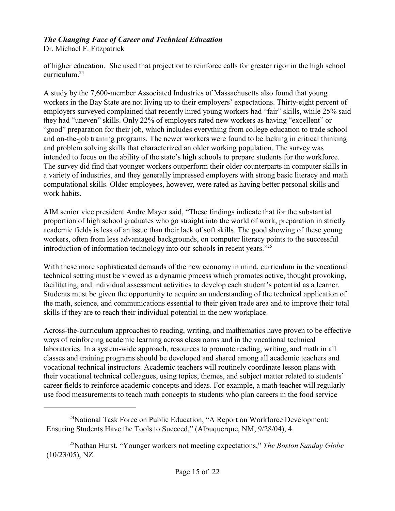Dr. Michael F. Fitzpatrick

of higher education. She used that projection to reinforce calls for greater rigor in the high school curriculum.<sup>24</sup>

A study by the 7,600-member Associated Industries of Massachusetts also found that young workers in the Bay State are not living up to their employers' expectations. Thirty-eight percent of employers surveyed complained that recently hired young workers had "fair" skills, while 25% said they had "uneven" skills. Only 22% of employers rated new workers as having "excellent" or "good" preparation for their job, which includes everything from college education to trade school and on-the-job training programs. The newer workers were found to be lacking in critical thinking and problem solving skills that characterized an older working population. The survey was intended to focus on the ability of the state's high schools to prepare students for the workforce. The survey did find that younger workers outperform their older counterparts in computer skills in a variety of industries, and they generally impressed employers with strong basic literacy and math computational skills. Older employees, however, were rated as having better personal skills and work habits.

AIM senior vice president Andre Mayer said, "These findings indicate that for the substantial proportion of high school graduates who go straight into the world of work, preparation in strictly academic fields is less of an issue than their lack of soft skills. The good showing of these young workers, often from less advantaged backgrounds, on computer literacy points to the successful introduction of information technology into our schools in recent years."<sup>25</sup>

With these more sophisticated demands of the new economy in mind, curriculum in the vocational technical setting must be viewed as a dynamic process which promotes active, thought provoking, facilitating, and individual assessment activities to develop each student's potential as a learner. Students must be given the opportunity to acquire an understanding of the technical application of the math, science, and communications essential to their given trade area and to improve their total skills if they are to reach their individual potential in the new workplace.

Across-the-curriculum approaches to reading, writing, and mathematics have proven to be effective ways of reinforcing academic learning across classrooms and in the vocational technical laboratories. In a system-wide approach, resources to promote reading, writing, and math in all classes and training programs should be developed and shared among all academic teachers and vocational technical instructors. Academic teachers will routinely coordinate lesson plans with their vocational technical colleagues, using topics, themes, and subject matter related to students' career fields to reinforce academic concepts and ideas. For example, a math teacher will regularly use food measurements to teach math concepts to students who plan careers in the food service

 $^{24}$ National Task Force on Public Education, "A Report on Workforce Development: Ensuring Students Have the Tools to Succeed," (Albuquerque, NM, 9/28/04), 4.

<sup>&</sup>lt;sup>25</sup>Nathan Hurst, "Younger workers not meeting expectations," *The Boston Sunday Globe* (10/23/05), NZ.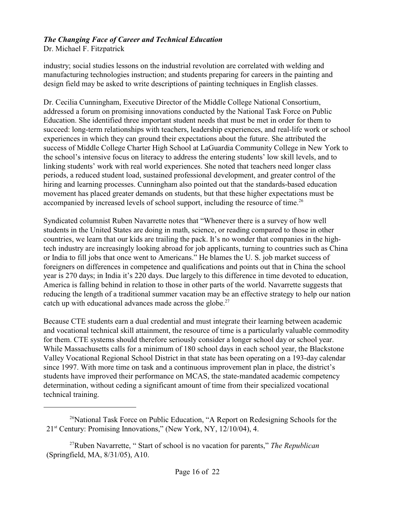Dr. Michael F. Fitzpatrick

industry; social studies lessons on the industrial revolution are correlated with welding and manufacturing technologies instruction; and students preparing for careers in the painting and design field may be asked to write descriptions of painting techniques in English classes.

Dr. Cecilia Cunningham, Executive Director of the Middle College National Consortium, addressed a forum on promising innovations conducted by the National Task Force on Public Education. She identified three important student needs that must be met in order for them to succeed: long-term relationships with teachers, leadership experiences, and real-life work or school experiences in which they can ground their expectations about the future. She attributed the success of Middle College Charter High School at LaGuardia Community College in New York to the school's intensive focus on literacy to address the entering students' low skill levels, and to linking students' work with real world experiences. She noted that teachers need longer class periods, a reduced student load, sustained professional development, and greater control of the hiring and learning processes. Cunningham also pointed out that the standards-based education movement has placed greater demands on students, but that these higher expectations must be accompanied by increased levels of school support, including the resource of time.<sup>26</sup>

Syndicated columnist Ruben Navarrette notes that "Whenever there is a survey of how well students in the United States are doing in math, science, or reading compared to those in other countries, we learn that our kids are trailing the pack. It's no wonder that companies in the hightech industry are increasingly looking abroad for job applicants, turning to countries such as China or India to fill jobs that once went to Americans." He blames the U. S. job market success of foreigners on differences in competence and qualifications and points out that in China the school year is 270 days; in India it's 220 days. Due largely to this difference in time devoted to education, America is falling behind in relation to those in other parts of the world. Navarrette suggests that reducing the length of a traditional summer vacation may be an effective strategy to help our nation catch up with educational advances made across the globe.<sup>27</sup>

Because CTE students earn a dual credential and must integrate their learning between academic and vocational technical skill attainment, the resource of time is a particularly valuable commodity for them. CTE systems should therefore seriously consider a longer school day or school year. While Massachusetts calls for a minimum of 180 school days in each school year, the Blackstone Valley Vocational Regional School District in that state has been operating on a 193-day calendar since 1997. With more time on task and a continuous improvement plan in place, the district's students have improved their performance on MCAS, the state-mandated academic competency determination, without ceding a significant amount of time from their specialized vocational technical training.

 $26$ National Task Force on Public Education, "A Report on Redesigning Schools for the  $21<sup>st</sup>$  Century: Promising Innovations," (New York, NY, 12/10/04), 4.

Ruben Navarrette, " Start of school is no vacation for parents," *The Republican* <sup>27</sup> (Springfield, MA, 8/31/05), A10.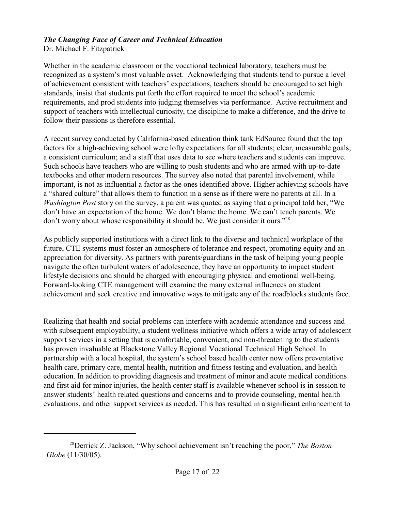Dr. Michael F. Fitzpatrick

Whether in the academic classroom or the vocational technical laboratory, teachers must be recognized as a system's most valuable asset. Acknowledging that students tend to pursue a level of achievement consistent with teachers' expectations, teachers should be encouraged to set high standards, insist that students put forth the effort required to meet the school's academic requirements, and prod students into judging themselves via performance. Active recruitment and support of teachers with intellectual curiosity, the discipline to make a difference, and the drive to follow their passions is therefore essential.

A recent survey conducted by California-based education think tank EdSource found that the top factors for a high-achieving school were lofty expectations for all students; clear, measurable goals; a consistent curriculum; and a staff that uses data to see where teachers and students can improve. Such schools have teachers who are willing to push students and who are armed with up-to-date textbooks and other modern resources. The survey also noted that parental involvement, while important, is not as influential a factor as the ones identified above. Higher achieving schools have a "shared culture" that allows them to function in a sense as if there were no parents at all. In a *Washington Post* story on the survey, a parent was quoted as saying that a principal told her, "We don't have an expectation of the home. We don't blame the home. We can't teach parents. We don't worry about whose responsibility it should be. We just consider it ours."<sup>28</sup>

As publicly supported institutions with a direct link to the diverse and technical workplace of the future, CTE systems must foster an atmosphere of tolerance and respect, promoting equity and an appreciation for diversity. As partners with parents/guardians in the task of helping young people navigate the often turbulent waters of adolescence, they have an opportunity to impact student lifestyle decisions and should be charged with encouraging physical and emotional well-being. Forward-looking CTE management will examine the many external influences on student achievement and seek creative and innovative ways to mitigate any of the roadblocks students face.

Realizing that health and social problems can interfere with academic attendance and success and with subsequent employability, a student wellness initiative which offers a wide array of adolescent support services in a setting that is comfortable, convenient, and non-threatening to the students has proven invaluable at Blackstone Valley Regional Vocational Technical High School. In partnership with a local hospital, the system's school based health center now offers preventative health care, primary care, mental health, nutrition and fitness testing and evaluation, and health education. In addition to providing diagnosis and treatment of minor and acute medical conditions and first aid for minor injuries, the health center staff is available whenever school is in session to answer students' health related questions and concerns and to provide counseling, mental health evaluations, and other support services as needed. This has resulted in a significant enhancement to

<sup>&</sup>lt;sup>28</sup>Derrick Z. Jackson, "Why school achievement isn't reaching the poor," *The Boston Globe* (11/30/05).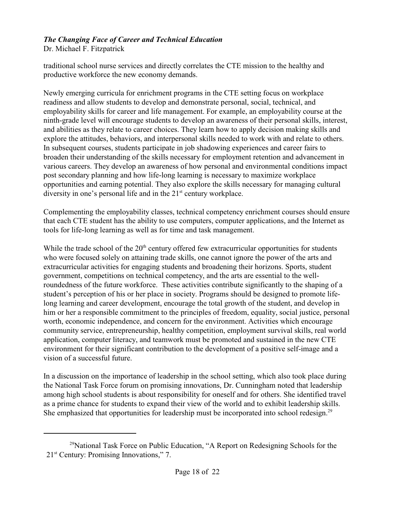Dr. Michael F. Fitzpatrick

traditional school nurse services and directly correlates the CTE mission to the healthy and productive workforce the new economy demands.

Newly emerging curricula for enrichment programs in the CTE setting focus on workplace readiness and allow students to develop and demonstrate personal, social, technical, and employability skills for career and life management. For example, an employability course at the ninth-grade level will encourage students to develop an awareness of their personal skills, interest, and abilities as they relate to career choices. They learn how to apply decision making skills and explore the attitudes, behaviors, and interpersonal skills needed to work with and relate to others. In subsequent courses, students participate in job shadowing experiences and career fairs to broaden their understanding of the skills necessary for employment retention and advancement in various careers. They develop an awareness of how personal and environmental conditions impact post secondary planning and how life-long learning is necessary to maximize workplace opportunities and earning potential. They also explore the skills necessary for managing cultural diversity in one's personal life and in the  $21<sup>st</sup>$  century workplace.

Complementing the employability classes, technical competency enrichment courses should ensure that each CTE student has the ability to use computers, computer applications, and the Internet as tools for life-long learning as well as for time and task management.

While the trade school of the  $20<sup>th</sup>$  century offered few extracurricular opportunities for students who were focused solely on attaining trade skills, one cannot ignore the power of the arts and extracurricular activities for engaging students and broadening their horizons. Sports, student government, competitions on technical competency, and the arts are essential to the wellroundedness of the future workforce. These activities contribute significantly to the shaping of a student's perception of his or her place in society. Programs should be designed to promote lifelong learning and career development, encourage the total growth of the student, and develop in him or her a responsible commitment to the principles of freedom, equality, social justice, personal worth, economic independence, and concern for the environment. Activities which encourage community service, entrepreneurship, healthy competition, employment survival skills, real world application, computer literacy, and teamwork must be promoted and sustained in the new CTE environment for their significant contribution to the development of a positive self-image and a vision of a successful future.

In a discussion on the importance of leadership in the school setting, which also took place during the National Task Force forum on promising innovations, Dr. Cunningham noted that leadership among high school students is about responsibility for oneself and for others. She identified travel as a prime chance for students to expand their view of the world and to exhibit leadership skills. She emphasized that opportunities for leadership must be incorporated into school redesign.<sup>29</sup>

 $^{29}$ National Task Force on Public Education, "A Report on Redesigning Schools for the  $21<sup>st</sup>$  Century: Promising Innovations," 7.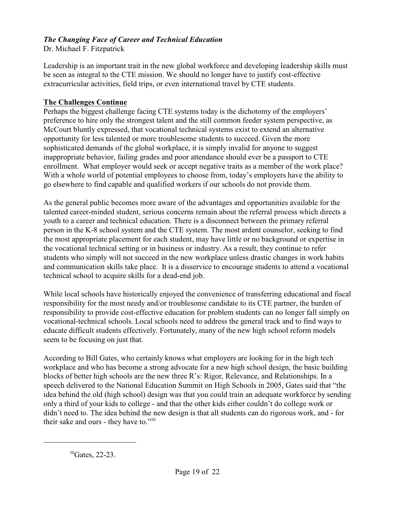Dr. Michael F. Fitzpatrick

Leadership is an important trait in the new global workforce and developing leadership skills must be seen as integral to the CTE mission. We should no longer have to justify cost-effective extracurricular activities, field trips, or even international travel by CTE students.

#### **The Challenges Continue**

Perhaps the biggest challenge facing CTE systems today is the dichotomy of the employers' preference to hire only the strongest talent and the still common feeder system perspective, as McCourt bluntly expressed, that vocational technical systems exist to extend an alternative opportunity for less talented or more troublesome students to succeed. Given the more sophisticated demands of the global workplace, it is simply invalid for anyone to suggest inappropriate behavior, failing grades and poor attendance should ever be a passport to CTE enrollment. What employer would seek or accept negative traits as a member of the work place? With a whole world of potential employees to choose from, today's employers have the ability to go elsewhere to find capable and qualified workers if our schools do not provide them.

As the general public becomes more aware of the advantages and opportunities available for the talented career-minded student, serious concerns remain about the referral process which directs a youth to a career and technical education. There is a disconnect between the primary referral person in the K-8 school system and the CTE system. The most ardent counselor, seeking to find the most appropriate placement for each student, may have little or no background or expertise in the vocational technical setting or in business or industry. As a result, they continue to refer students who simply will not succeed in the new workplace unless drastic changes in work habits and communication skills take place. It is a disservice to encourage students to attend a vocational technical school to acquire skills for a dead-end job.

While local schools have historically enjoyed the convenience of transferring educational and fiscal responsibility for the most needy and/or troublesome candidate to its CTE partner, the burden of responsibility to provide cost-effective education for problem students can no longer fall simply on vocational-technical schools. Local schools need to address the general track and to find ways to educate difficult students effectively. Fortunately, many of the new high school reform models seem to be focusing on just that.

According to Bill Gates, who certainly knows what employers are looking for in the high tech workplace and who has become a strong advocate for a new high school design, the basic building blocks of better high schools are the new three R's: Rigor, Relevance, and Relationships. In a speech delivered to the National Education Summit on High Schools in 2005, Gates said that "the idea behind the old (high school) design was that you could train an adequate workforce by sending only a third of your kids to college - and that the other kids either couldn't do college work or didn't need to. The idea behind the new design is that all students can do rigorous work, and - for their sake and ours - they have to."30

 ${}^{30}$ Gates, 22-23.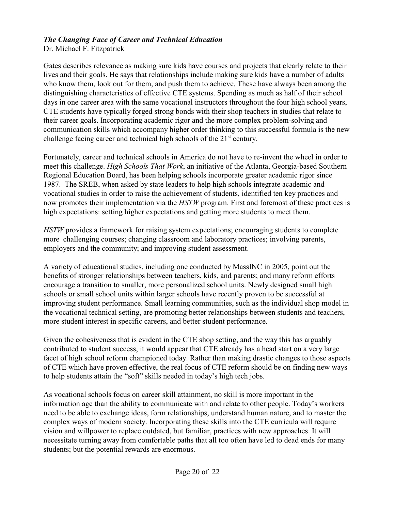Dr. Michael F. Fitzpatrick

Gates describes relevance as making sure kids have courses and projects that clearly relate to their lives and their goals. He says that relationships include making sure kids have a number of adults who know them, look out for them, and push them to achieve. These have always been among the distinguishing characteristics of effective CTE systems. Spending as much as half of their school days in one career area with the same vocational instructors throughout the four high school years, CTE students have typically forged strong bonds with their shop teachers in studies that relate to their career goals. Incorporating academic rigor and the more complex problem-solving and communication skills which accompany higher order thinking to this successful formula is the new challenge facing career and technical high schools of the  $21<sup>st</sup>$  century.

Fortunately, career and technical schools in America do not have to re-invent the wheel in order to meet this challenge. *High Schools That Work*, an initiative of the Atlanta, Georgia-based Southern Regional Education Board, has been helping schools incorporate greater academic rigor since 1987. The SREB, when asked by state leaders to help high schools integrate academic and vocational studies in order to raise the achievement of students, identified ten key practices and now promotes their implementation via the *HSTW* program. First and foremost of these practices is high expectations: setting higher expectations and getting more students to meet them.

*HSTW* provides a framework for raising system expectations; encouraging students to complete more challenging courses; changing classroom and laboratory practices; involving parents, employers and the community; and improving student assessment.

A variety of educational studies, including one conducted by MassINC in 2005, point out the benefits of stronger relationships between teachers, kids, and parents; and many reform efforts encourage a transition to smaller, more personalized school units. Newly designed small high schools or small school units within larger schools have recently proven to be successful at improving student performance. Small learning communities, such as the individual shop model in the vocational technical setting, are promoting better relationships between students and teachers, more student interest in specific careers, and better student performance.

Given the cohesiveness that is evident in the CTE shop setting, and the way this has arguably contributed to student success, it would appear that CTE already has a head start on a very large facet of high school reform championed today. Rather than making drastic changes to those aspects of CTE which have proven effective, the real focus of CTE reform should be on finding new ways to help students attain the "soft" skills needed in today's high tech jobs.

As vocational schools focus on career skill attainment, no skill is more important in the information age than the ability to communicate with and relate to other people. Today's workers need to be able to exchange ideas, form relationships, understand human nature, and to master the complex ways of modern society. Incorporating these skills into the CTE curricula will require vision and willpower to replace outdated, but familiar, practices with new approaches. It will necessitate turning away from comfortable paths that all too often have led to dead ends for many students; but the potential rewards are enormous.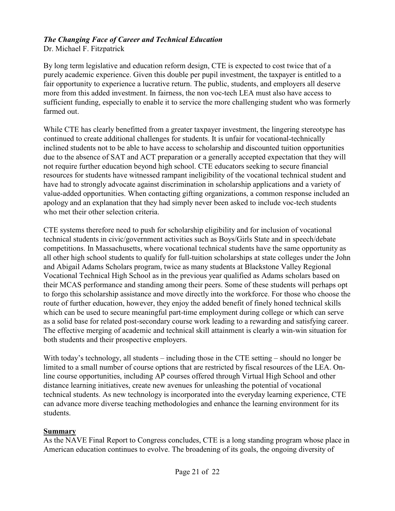Dr. Michael F. Fitzpatrick

By long term legislative and education reform design, CTE is expected to cost twice that of a purely academic experience. Given this double per pupil investment, the taxpayer is entitled to a fair opportunity to experience a lucrative return. The public, students, and employers all deserve more from this added investment. In fairness, the non voc-tech LEA must also have access to sufficient funding, especially to enable it to service the more challenging student who was formerly farmed out.

While CTE has clearly benefitted from a greater taxpayer investment, the lingering stereotype has continued to create additional challenges for students. It is unfair for vocational-technically inclined students not to be able to have access to scholarship and discounted tuition opportunities due to the absence of SAT and ACT preparation or a generally accepted expectation that they will not require further education beyond high school. CTE educators seeking to secure financial resources for students have witnessed rampant ineligibility of the vocational technical student and have had to strongly advocate against discrimination in scholarship applications and a variety of value-added opportunities. When contacting gifting organizations, a common response included an apology and an explanation that they had simply never been asked to include voc-tech students who met their other selection criteria.

CTE systems therefore need to push for scholarship eligibility and for inclusion of vocational technical students in civic/government activities such as Boys/Girls State and in speech/debate competitions. In Massachusetts, where vocational technical students have the same opportunity as all other high school students to qualify for full-tuition scholarships at state colleges under the John and Abigail Adams Scholars program, twice as many students at Blackstone Valley Regional Vocational Technical High School as in the previous year qualified as Adams scholars based on their MCAS performance and standing among their peers. Some of these students will perhaps opt to forgo this scholarship assistance and move directly into the workforce. For those who choose the route of further education, however, they enjoy the added benefit of finely honed technical skills which can be used to secure meaningful part-time employment during college or which can serve as a solid base for related post-secondary course work leading to a rewarding and satisfying career. The effective merging of academic and technical skill attainment is clearly a win-win situation for both students and their prospective employers.

With today's technology, all students – including those in the CTE setting – should no longer be limited to a small number of course options that are restricted by fiscal resources of the LEA. Online course opportunities, including AP courses offered through Virtual High School and other distance learning initiatives, create new avenues for unleashing the potential of vocational technical students. As new technology is incorporated into the everyday learning experience, CTE can advance more diverse teaching methodologies and enhance the learning environment for its students.

#### **Summary**

As the NAVE Final Report to Congress concludes, CTE is a long standing program whose place in American education continues to evolve. The broadening of its goals, the ongoing diversity of